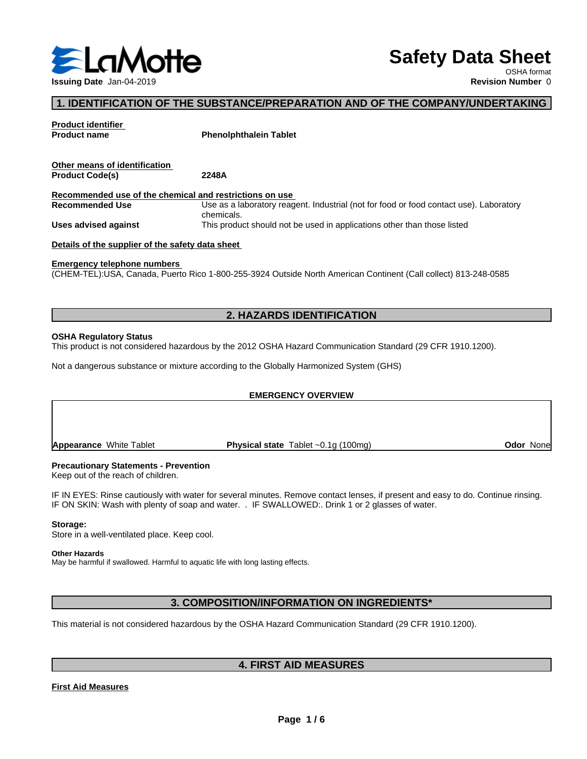

# **Safety Data Sheet**

OSHA format

### **1. IDENTIFICATION OF THE SUBSTANCE/PREPARATION AND OF THE COMPANY/UNDERTAKING**

| <b>Product identifier</b><br><b>Product name</b>        | <b>Phenolphthalein Tablet</b>                                                                                    |
|---------------------------------------------------------|------------------------------------------------------------------------------------------------------------------|
| Other means of identification<br><b>Product Code(s)</b> | 2248A                                                                                                            |
|                                                         |                                                                                                                  |
| Recommended use of the chemical and restrictions on use |                                                                                                                  |
| <b>Recommended Use</b>                                  | Use as a laboratory reagent. Industrial (not for food or food contact use). Laboratory<br>chemicals.             |
| Uses advised against                                    | This product should not be used in applications other than those listed                                          |
| Details of the supplier of the safety data sheet        |                                                                                                                  |
| <b>Emergency telephone numbers</b>                      |                                                                                                                  |
|                                                         | (CHEM-TEL): USA, Canada, Puerto Rico 1-800-255-3924 Outside North American Continent (Call collect) 813-248-0585 |

#### **2. HAZARDS IDENTIFICATION**

#### **OSHA Regulatory Status**

This product is not considered hazardous by the 2012 OSHA Hazard Communication Standard (29 CFR 1910.1200).

Not a dangerous substance or mixture according to the Globally Harmonized System (GHS)

# **EMERGENCY OVERVIEW Appearance** White Tablet **Physical state** Tablet ~0.1g (100mg) **Ddor None**

#### **Precautionary Statements - Prevention**

Keep out of the reach of children.

IF IN EYES: Rinse cautiously with water for several minutes. Remove contact lenses, if present and easy to do. Continue rinsing. IF ON SKIN: Wash with plenty of soap and water. . IF SWALLOWED:. Drink 1 or 2 glasses of water.

#### **Storage:**

Store in a well-ventilated place. Keep cool.

#### **Other Hazards**

May be harmful if swallowed. Harmful to aquatic life with long lasting effects.

#### **3. COMPOSITION/INFORMATION ON INGREDIENTS\***

This material is not considered hazardous by the OSHA Hazard Communication Standard (29 CFR 1910.1200).

#### **4. FIRST AID MEASURES**

#### **First Aid Measures**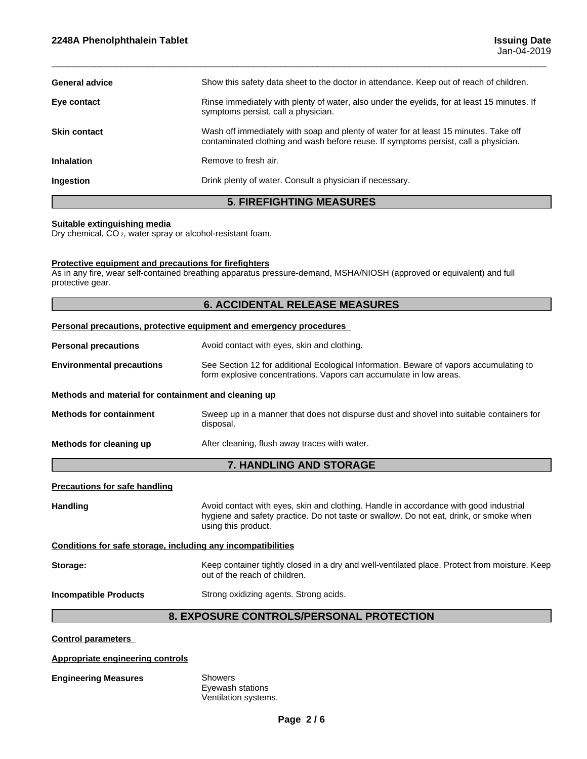| <b>5. FIREFIGHTING MEASURES</b> |                                                                                                                                                                             |  |
|---------------------------------|-----------------------------------------------------------------------------------------------------------------------------------------------------------------------------|--|
| Ingestion                       | Drink plenty of water. Consult a physician if necessary.                                                                                                                    |  |
| <b>Inhalation</b>               | Remove to fresh air.                                                                                                                                                        |  |
| <b>Skin contact</b>             | Wash off immediately with soap and plenty of water for at least 15 minutes. Take off<br>contaminated clothing and wash before reuse. If symptoms persist, call a physician. |  |
| Eye contact                     | Rinse immediately with plenty of water, also under the eyelids, for at least 15 minutes. If<br>symptoms persist, call a physician.                                          |  |
| <b>General advice</b>           | Show this safety data sheet to the doctor in attendance. Keep out of reach of children.                                                                                     |  |
|                                 |                                                                                                                                                                             |  |

 $\overline{\phantom{a}}$  ,  $\overline{\phantom{a}}$  ,  $\overline{\phantom{a}}$  ,  $\overline{\phantom{a}}$  ,  $\overline{\phantom{a}}$  ,  $\overline{\phantom{a}}$  ,  $\overline{\phantom{a}}$  ,  $\overline{\phantom{a}}$  ,  $\overline{\phantom{a}}$  ,  $\overline{\phantom{a}}$  ,  $\overline{\phantom{a}}$  ,  $\overline{\phantom{a}}$  ,  $\overline{\phantom{a}}$  ,  $\overline{\phantom{a}}$  ,  $\overline{\phantom{a}}$  ,  $\overline{\phantom{a}}$ 

#### **Suitable extinguishing media**

Dry chemical, CO 2, water spray or alcohol-resistant foam.

#### **Protective equipment and precautions for firefighters**

As in any fire, wear self-contained breathing apparatus pressure-demand, MSHA/NIOSH (approved or equivalent) and full protective gear.

#### **6. ACCIDENTAL RELEASE MEASURES**

#### **Personal precautions, protective equipment and emergency procedures**

**Personal precautions Avoid contact with eyes, skin and clothing.** 

**Environmental precautions** See Section 12 for additional Ecological Information. Beware of vapors accumulating to form explosive concentrations. Vapors can accumulate in low areas.

#### **Methods and material for containment and cleaning up**

**Methods for containment** Sweep up in a manner that does not dispurse dust and shovel into suitable containers for disposal.

**Methods for cleaning up** After cleaning, flush away traces with water.

#### **7. HANDLING AND STORAGE**

**Precautions for safe handling**

Handling **Handling Avoid contact with eyes, skin and clothing. Handle in accordance with good industrial** hygiene and safety practice. Do not taste or swallow. Do not eat, drink, or smoke when using this product.

#### **Conditions for safe storage, including any incompatibilities**

**Storage:** Keep container tightly closed in a dry and well-ventilated place. Protect from moisture. Keep out of the reach of children.

**Incompatible Products** Strong oxidizing agents. Strong acids.

#### **8. EXPOSURE CONTROLS/PERSONAL PROTECTION**

**Control parameters**

#### **Appropriate engineering controls**

#### **Engineering Measures** Showers

Eyewash stations Ventilation systems.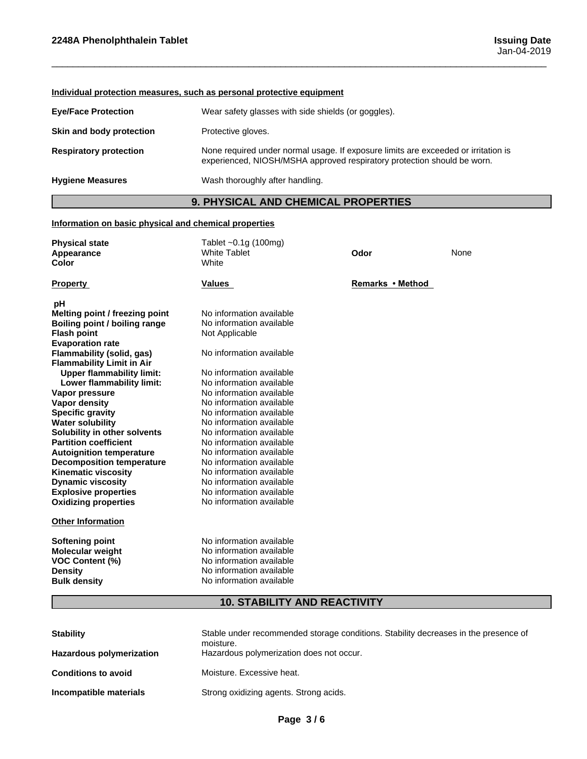#### **Individual protection measures, such as personal protective equipment**

| <b>Eye/Face Protection</b>    | Wear safety glasses with side shields (or goggles).                                                                                                           |
|-------------------------------|---------------------------------------------------------------------------------------------------------------------------------------------------------------|
| Skin and body protection      | Protective gloves.                                                                                                                                            |
| <b>Respiratory protection</b> | None required under normal usage. If exposure limits are exceeded or irritation is<br>experienced, NIOSH/MSHA approved respiratory protection should be worn. |
| <b>Hygiene Measures</b>       | Wash thoroughly after handling.                                                                                                                               |

# **9. PHYSICAL AND CHEMICAL PROPERTIES**

 $\overline{\phantom{a}}$  ,  $\overline{\phantom{a}}$  ,  $\overline{\phantom{a}}$  ,  $\overline{\phantom{a}}$  ,  $\overline{\phantom{a}}$  ,  $\overline{\phantom{a}}$  ,  $\overline{\phantom{a}}$  ,  $\overline{\phantom{a}}$  ,  $\overline{\phantom{a}}$  ,  $\overline{\phantom{a}}$  ,  $\overline{\phantom{a}}$  ,  $\overline{\phantom{a}}$  ,  $\overline{\phantom{a}}$  ,  $\overline{\phantom{a}}$  ,  $\overline{\phantom{a}}$  ,  $\overline{\phantom{a}}$ 

#### **Information on basic physical and chemical properties**

| <b>Physical state</b><br>Appearance<br>Color | Tablet ~0.1g (100mg)<br><b>White Tablet</b><br>White | Odor             | None |  |
|----------------------------------------------|------------------------------------------------------|------------------|------|--|
| <b>Property</b>                              | <b>Values</b>                                        | Remarks • Method |      |  |
| рH                                           |                                                      |                  |      |  |
| Melting point / freezing point               | No information available                             |                  |      |  |
| Boiling point / boiling range                | No information available                             |                  |      |  |
| <b>Flash point</b>                           | Not Applicable                                       |                  |      |  |
| <b>Evaporation rate</b>                      |                                                      |                  |      |  |
| <b>Flammability (solid, gas)</b>             | No information available                             |                  |      |  |
| <b>Flammability Limit in Air</b>             |                                                      |                  |      |  |
| <b>Upper flammability limit:</b>             | No information available                             |                  |      |  |
| Lower flammability limit:                    | No information available                             |                  |      |  |
| Vapor pressure                               | No information available                             |                  |      |  |
| <b>Vapor density</b>                         | No information available                             |                  |      |  |
| <b>Specific gravity</b>                      | No information available                             |                  |      |  |
| <b>Water solubility</b>                      | No information available                             |                  |      |  |
| Solubility in other solvents                 | No information available                             |                  |      |  |
| <b>Partition coefficient</b>                 | No information available                             |                  |      |  |
| <b>Autoignition temperature</b>              | No information available                             |                  |      |  |
| <b>Decomposition temperature</b>             | No information available                             |                  |      |  |
| <b>Kinematic viscosity</b>                   | No information available                             |                  |      |  |
| <b>Dynamic viscosity</b>                     | No information available                             |                  |      |  |
| <b>Explosive properties</b>                  | No information available                             |                  |      |  |
| <b>Oxidizing properties</b>                  | No information available                             |                  |      |  |
| <b>Other Information</b>                     |                                                      |                  |      |  |
| <b>Softening point</b>                       | No information available                             |                  |      |  |
| <b>Molecular weight</b>                      | No information available                             |                  |      |  |
| <b>VOC Content (%)</b>                       | No information available                             |                  |      |  |
| <b>Density</b>                               | No information available                             |                  |      |  |
| <b>Bulk density</b>                          | No information available                             |                  |      |  |

# **10. STABILITY AND REACTIVITY**

| <b>Stability</b><br><b>Hazardous polymerization</b> | Stable under recommended storage conditions. Stability decreases in the presence of<br>moisture.<br>Hazardous polymerization does not occur. |
|-----------------------------------------------------|----------------------------------------------------------------------------------------------------------------------------------------------|
| <b>Conditions to avoid</b>                          | Moisture. Excessive heat.                                                                                                                    |
| Incompatible materials                              | Strong oxidizing agents. Strong acids.                                                                                                       |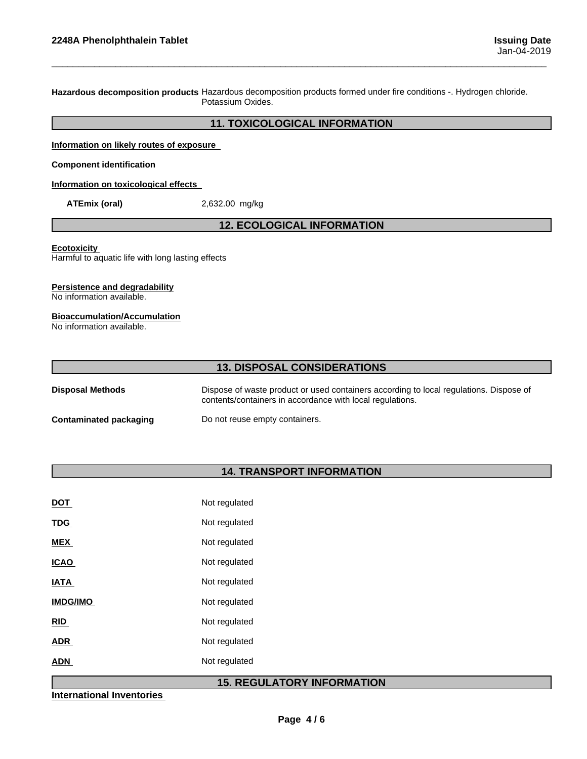**Hazardous decomposition products** Hazardous decomposition products formed under fire conditions -. Hydrogen chloride. Potassium Oxides.

#### **11. TOXICOLOGICAL INFORMATION**

 $\overline{\phantom{a}}$  ,  $\overline{\phantom{a}}$  ,  $\overline{\phantom{a}}$  ,  $\overline{\phantom{a}}$  ,  $\overline{\phantom{a}}$  ,  $\overline{\phantom{a}}$  ,  $\overline{\phantom{a}}$  ,  $\overline{\phantom{a}}$  ,  $\overline{\phantom{a}}$  ,  $\overline{\phantom{a}}$  ,  $\overline{\phantom{a}}$  ,  $\overline{\phantom{a}}$  ,  $\overline{\phantom{a}}$  ,  $\overline{\phantom{a}}$  ,  $\overline{\phantom{a}}$  ,  $\overline{\phantom{a}}$ 

**Information on likely routes of exposure**

**Component identification**

**Information on toxicological effects**

**ATEmix (oral)** 2,632.00 mg/kg

#### **12. ECOLOGICAL INFORMATION**

**Ecotoxicity** 

Harmful to aquatic life with long lasting effects

#### **Persistence and degradability**

No information available.

#### **Bioaccumulation/Accumulation**

No information available.

| <b>13. DISPOSAL CONSIDERATIONS</b> |                                                                                                                                                     |  |
|------------------------------------|-----------------------------------------------------------------------------------------------------------------------------------------------------|--|
| <b>Disposal Methods</b>            | Dispose of waste product or used containers according to local regulations. Dispose of<br>contents/containers in accordance with local regulations. |  |
| Contaminated packaging             | Do not reuse empty containers.                                                                                                                      |  |

# **14. TRANSPORT INFORMATION**

| <u>DOT</u>      | Not regulated |
|-----------------|---------------|
| <b>TDG</b>      | Not regulated |
| <b>MEX</b>      | Not regulated |
| <b>ICAO</b>     | Not regulated |
| <b>IATA</b>     | Not regulated |
| <b>IMDG/IMO</b> | Not regulated |
| RID             | Not regulated |
| <b>ADR</b>      | Not regulated |
| <b>ADN</b>      | Not regulated |
|                 |               |

## **15. REGULATORY INFORMATION**

**International Inventories**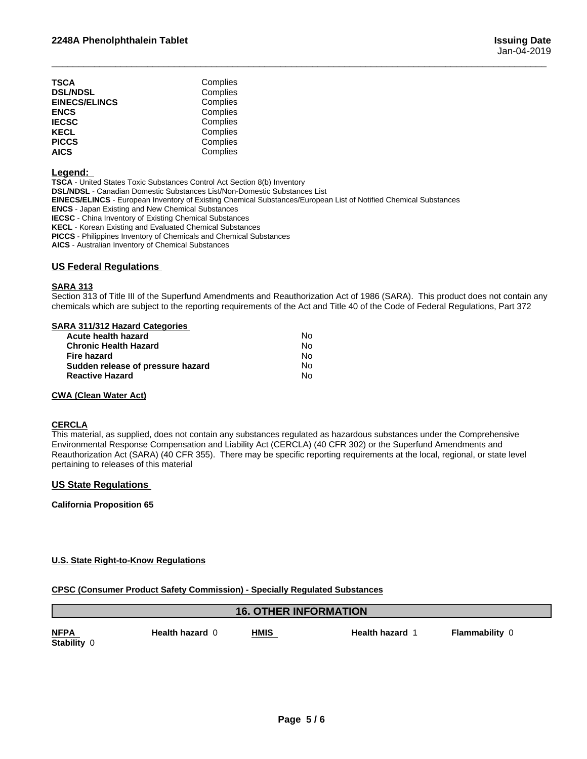| TSCA                 | Complies |  |
|----------------------|----------|--|
| <b>DSL/NDSL</b>      | Complies |  |
| <b>EINECS/ELINCS</b> | Complies |  |
| ENCS                 | Complies |  |
| IECSC                | Complies |  |
| KECL                 | Complies |  |
| PICCS                | Complies |  |
| AICS                 | Complies |  |
|                      |          |  |

#### **Legend:**

**TSCA** - United States Toxic Substances Control Act Section 8(b) Inventory **DSL/NDSL** - Canadian Domestic Substances List/Non-Domestic Substances List **EINECS/ELINCS** - European Inventory of Existing Chemical Substances/European List of Notified Chemical Substances **ENCS** - Japan Existing and New Chemical Substances **IECSC** - China Inventory of Existing Chemical Substances **KECL** - Korean Existing and Evaluated Chemical Substances **PICCS** - Philippines Inventory of Chemicals and Chemical Substances **AICS** - Australian Inventory of Chemical Substances

#### **US Federal Regulations**

#### **SARA 313**

Section 313 of Title III of the Superfund Amendments and Reauthorization Act of 1986 (SARA). This product does not contain any chemicals which are subject to the reporting requirements of the Act and Title 40 of the Code of Federal Regulations, Part 372

 $\overline{\phantom{a}}$  ,  $\overline{\phantom{a}}$  ,  $\overline{\phantom{a}}$  ,  $\overline{\phantom{a}}$  ,  $\overline{\phantom{a}}$  ,  $\overline{\phantom{a}}$  ,  $\overline{\phantom{a}}$  ,  $\overline{\phantom{a}}$  ,  $\overline{\phantom{a}}$  ,  $\overline{\phantom{a}}$  ,  $\overline{\phantom{a}}$  ,  $\overline{\phantom{a}}$  ,  $\overline{\phantom{a}}$  ,  $\overline{\phantom{a}}$  ,  $\overline{\phantom{a}}$  ,  $\overline{\phantom{a}}$ 

#### **SARA 311/312 Hazard Categories**

| Acute health hazard               | No. |  |
|-----------------------------------|-----|--|
| Chronic Health Hazard             | No. |  |
| Fire hazard                       | No. |  |
| Sudden release of pressure hazard | No. |  |
| Reactive Hazard                   | Nο  |  |

#### **CWA** (Clean Water Act)

#### **CERCLA**

This material, as supplied, does not contain any substances regulated as hazardous substances under the Comprehensive Environmental Response Compensation and Liability Act (CERCLA) (40 CFR 302) or the Superfund Amendments and Reauthorization Act (SARA) (40 CFR 355). There may be specific reporting requirements at the local, regional, or state level pertaining to releases of this material

#### **US State Regulations**

**California Proposition 65**

#### **U.S. State Right-to-Know Regulations**

#### **CPSC (Consumer Product Safety Commission) - Specially Regulated Substances**

#### **16. OTHER INFORMATION**

**Stability** 0

**NFPA Health hazard** 0**HMIS Health hazard** 1 **Flammability** 0